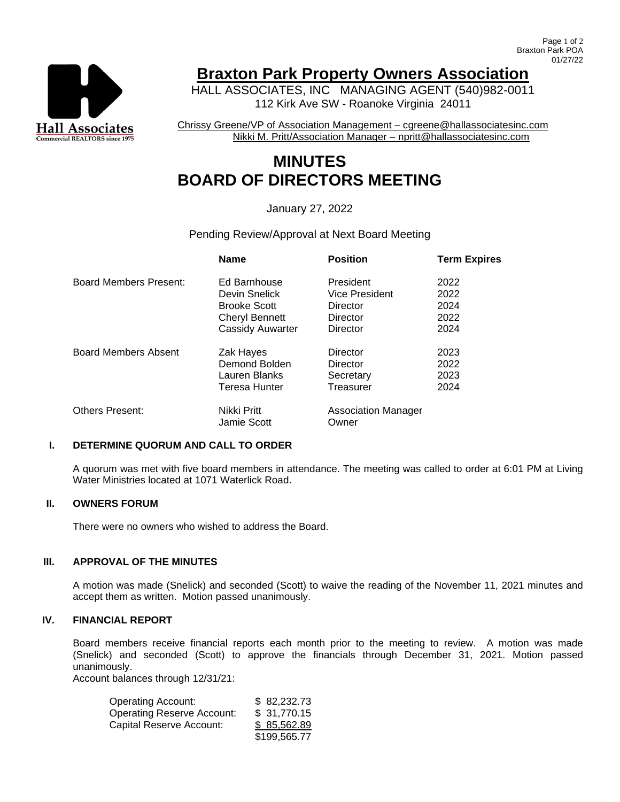

# **Braxton Park Property Owners Association**

HALL ASSOCIATES, INC MANAGING AGENT (540)982-0011 112 Kirk Ave SW - Roanoke Virginia 24011

Chrissy Greene/VP of Association Management – cgreene@hallassociatesinc.com Nikki M. Pritt/Association Manager – npritt@hallassociatesinc.com

# **MINUTES BOARD OF DIRECTORS MEETING**

# January 27, 2022

# Pending Review/Approval at Next Board Meeting

|                             | <b>Name</b>                | <b>Position</b>                     | <b>Term Expires</b> |
|-----------------------------|----------------------------|-------------------------------------|---------------------|
| Board Members Present:      | Ed Barnhouse               | President                           | 2022                |
|                             | Devin Snelick              | Vice President                      | 2022                |
|                             | <b>Brooke Scott</b>        | Director                            | 2024                |
|                             | <b>Cheryl Bennett</b>      | Director                            | 2022                |
|                             | <b>Cassidy Auwarter</b>    | Director                            | 2024                |
| <b>Board Members Absent</b> | Zak Hayes                  | Director                            | 2023                |
|                             | Demond Bolden              | Director                            | 2022                |
|                             | Lauren Blanks              | Secretary                           | 2023                |
|                             | Teresa Hunter              | Treasurer                           | 2024                |
| <b>Others Present:</b>      | Nikki Pritt<br>Jamie Scott | <b>Association Manager</b><br>Owner |                     |

### **I. DETERMINE QUORUM AND CALL TO ORDER**

A quorum was met with five board members in attendance. The meeting was called to order at 6:01 PM at Living Water Ministries located at 1071 Waterlick Road.

# **II. OWNERS FORUM**

There were no owners who wished to address the Board.

#### **III. APPROVAL OF THE MINUTES**

A motion was made (Snelick) and seconded (Scott) to waive the reading of the November 11, 2021 minutes and accept them as written. Motion passed unanimously.

#### **IV. FINANCIAL REPORT**

Board members receive financial reports each month prior to the meeting to review. A motion was made (Snelick) and seconded (Scott) to approve the financials through December 31, 2021. Motion passed unanimously.

Account balances through 12/31/21:

| <b>Operating Account:</b>         | \$82,232.73  |
|-----------------------------------|--------------|
| <b>Operating Reserve Account:</b> | \$31,770.15  |
| Capital Reserve Account:          | \$85,562.89  |
|                                   | \$199,565.77 |